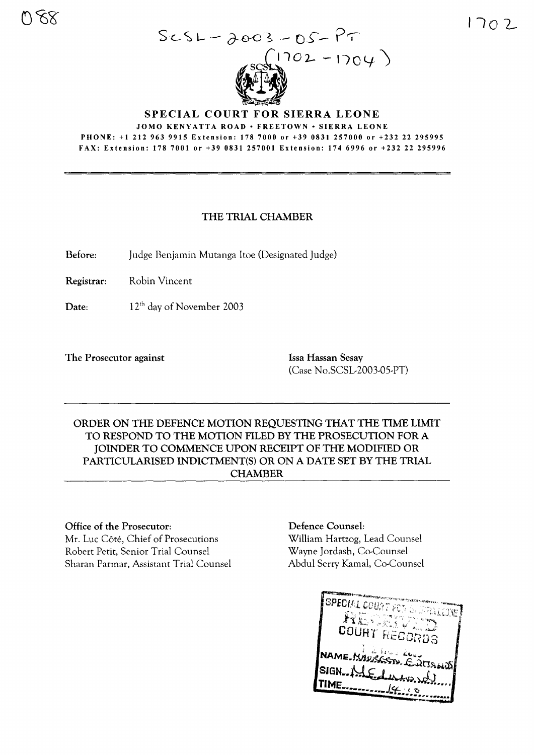

#### **SPECIAL COURT FOR SIERRA LEONE** JOMO KENYATTA ROAD · FREETOWN · SIERRA LEONE PHONE: +1 212 963 9915 Extension: 1787000 or +39 0831 257000 or +232 22 295995 FAX: Extension: 178 7001 or +39 0831 257001 Extension: 174 6996 or +232 22 295996

# THE TRIAL CHAMBER

Before: Judge Benjamin Mutanga Itoe (Designated Judge)

Registrar: Robin Vincent

Date: 12th day of November 2003

The Prosecutor against **Issa Hassan Sesay** 

(Case No.SCSL-2003-05-PT)

ORDER ON THE DEFENCE MOTION REQUESTING THAT THE TIME LIMIT TO RESPOND TO THE MOTION FILED BY THE PROSECUTION FOR A JOINDER TO COMMENCE UPON RECEIPT OF THE MODIFIED OR PARTICULARISED INDICTMENT(S) OR ON A DATE SET BY THE TRIAL CHAMBER

### Office of the Prosecutor:

Mr. Luc Côté, Chief of Prosecutions Robert Petit, Senior Trial Counsel Sharan Parmar, Assistant Trial Counsel

### Defence Counsel:

William Hartzog, Lead Counsel Wayne Jordash, Co-Counsel Abdul Serry Kamal, Co-Counsel

| <b>SPECIAL COUNT FOR STUPIALISME</b><br>$\mathbf{R}$ ing ang mang<br>COURT RECORDS |
|------------------------------------------------------------------------------------|
| NAME MAURGSN, EUISHOP<br>SIGN-NLE during<br>ME.<br>14.00                           |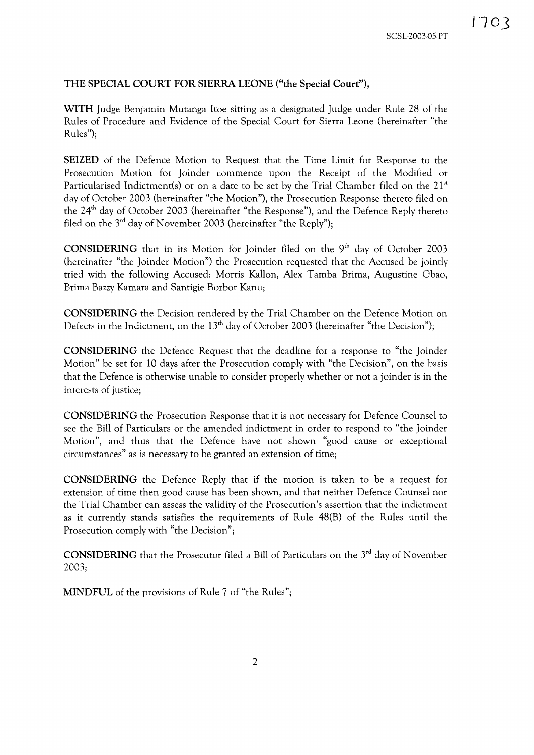## THE SPECIAL COURT FOR SIERRA LEONE ("the Special Court"),

WITH Judge Benjamin Mutanga Itoe sitting as a designated Judge under Rule 28 of the Rules of Procedure and Evidence of the Special Court for Sierra Leone (hereinafter "the Rules");

SEIZED of the Defence Motion to Request that the Time Limit for Response to the Prosecution Motion for Joinder commence upon the Receipt of the Modified or Particularised Indictment(s) or on a date to be set by the Trial Chamber filed on the  $21<sup>st</sup>$ day of October 2003 (hereinafter "the Motion"), the Prosecution Response thereto filed on the 24<sup>th</sup> day of October 2003 (hereinafter "the Response"), and the Defence Reply thereto filed on the  $3<sup>rd</sup>$  day of November 2003 (hereinafter "the Reply");

CONSIDERING that in its Motion for Joinder filed on the  $9<sup>th</sup>$  day of October 2003 (hereinafter "the Joinder Motion") the Prosecution requested that the Accused be jointly tried with the following Accused: Morris Kallon, Alex Tamba Brima, Augustine Gbao, Brima Bazzy Kamara and Santigie Borbor Kanu;

CONSIDERING the Decision rendered by the Trial Chamber on the Defence Motion on Defects in the Indictment, on the  $13<sup>th</sup>$  day of October 2003 (hereinafter "the Decision");

CONSIDERING the Defence Request that the deadline for a response to "the Joinder Motion" be set for 10 days after the Prosecution comply with "the Decision", on the basis that the Defence is otherwise unable to consider properly whether or not a joinder is in the interests of justice;

CONSIDERING the Prosecution Response that it is not necessary for Defence Counsel to see the Bill of Particulars or the amended indictment in order to respond to "the Joinder Motion", and thus that the Defence have not shown "good cause or exceptional circumstances" as is necessary to be granted an extension of time;

CONSIDERING the Defence Reply that if the motion is taken to be a request for extension of time then good cause has been shown, and that neither Defence Counsel nor the Trial Chamber can assess the validity of the Prosecution's assertion that the indictment as it currently stands satisfies the requirements of Rule 48(B) of the Rules until the Prosecution comply with "the Decision";

**CONSIDERING** that the Prosecutor filed a Bill of Particulars on the  $3<sup>rd</sup>$  day of November 2003;

MINDFUL of the provisions of Rule 7 of "the Rules";